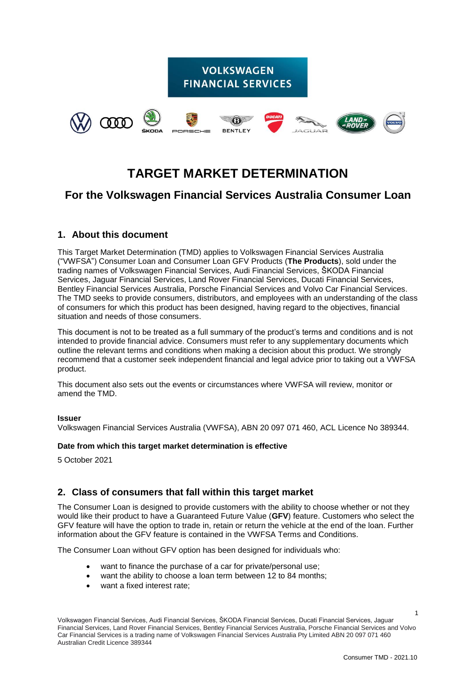

# **TARGET MARKET DETERMINATION**

## **For the Volkswagen Financial Services Australia Consumer Loan**

## **1. About this document**

This Target Market Determination (TMD) applies to Volkswagen Financial Services Australia ("VWFSA") Consumer Loan and Consumer Loan GFV Products (**The Products**), sold under the trading names of Volkswagen Financial Services, Audi Financial Services, ŠKODA Financial Services, Jaguar Financial Services, Land Rover Financial Services, Ducati Financial Services, Bentley Financial Services Australia, Porsche Financial Services and Volvo Car Financial Services. The TMD seeks to provide consumers, distributors, and employees with an understanding of the class of consumers for which this product has been designed, having regard to the objectives, financial situation and needs of those consumers.

This document is not to be treated as a full summary of the product's terms and conditions and is not intended to provide financial advice. Consumers must refer to any supplementary documents which outline the relevant terms and conditions when making a decision about this product. We strongly recommend that a customer seek independent financial and legal advice prior to taking out a VWFSA product.

This document also sets out the events or circumstances where VWFSA will review, monitor or amend the TMD.

#### **Issuer**

Volkswagen Financial Services Australia (VWFSA), ABN 20 097 071 460, ACL Licence No 389344.

#### **Date from which this target market determination is effective**

5 October 2021

## **2. Class of consumers that fall within this target market**

The Consumer Loan is designed to provide customers with the ability to choose whether or not they would like their product to have a Guaranteed Future Value (**GFV**) feature. Customers who select the GFV feature will have the option to trade in, retain or return the vehicle at the end of the loan. Further information about the GFV feature is contained in the VWFSA Terms and Conditions.

The Consumer Loan without GFV option has been designed for individuals who:

- want to finance the purchase of a car for private/personal use:
- want the ability to choose a loan term between 12 to 84 months;
- want a fixed interest rate;

1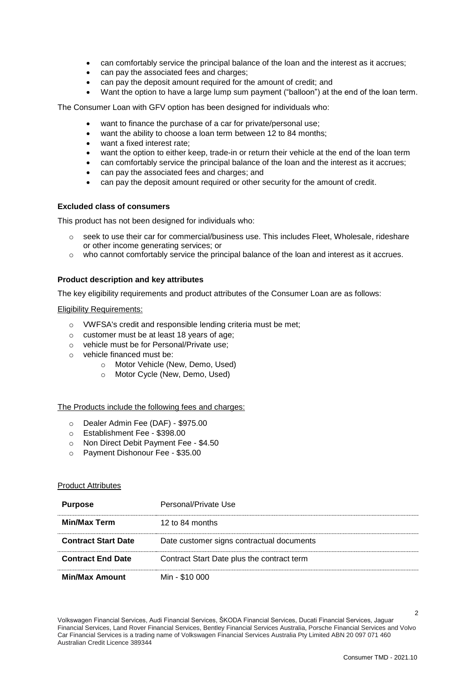- can comfortably service the principal balance of the loan and the interest as it accrues;
- can pay the associated fees and charges;
- can pay the deposit amount required for the amount of credit; and
- Want the option to have a large lump sum payment ("balloon") at the end of the loan term.

The Consumer Loan with GFV option has been designed for individuals who:

- want to finance the purchase of a car for private/personal use;
- want the ability to choose a loan term between 12 to 84 months;
- want a fixed interest rate;
- want the option to either keep, trade-in or return their vehicle at the end of the loan term
- can comfortably service the principal balance of the loan and the interest as it accrues;
- can pay the associated fees and charges; and
- can pay the deposit amount required or other security for the amount of credit.

#### **Excluded class of consumers**

This product has not been designed for individuals who:

- o seek to use their car for commercial/business use. This includes Fleet, Wholesale, rideshare or other income generating services; or
- o who cannot comfortably service the principal balance of the loan and interest as it accrues.

#### **Product description and key attributes**

The key eligibility requirements and product attributes of the Consumer Loan are as follows:

#### Eligibility Requirements:

- o VWFSA's credit and responsible lending criteria must be met;
- o customer must be at least 18 years of age;
- o vehicle must be for Personal/Private use;
- o vehicle financed must be:
	- o Motor Vehicle (New, Demo, Used)
	- o Motor Cycle (New, Demo, Used)

#### The Products include the following fees and charges:

- o Dealer Admin Fee (DAF) \$975.00
- o Establishment Fee \$398.00
- o Non Direct Debit Payment Fee \$4.50
- o Payment Dishonour Fee \$35.00

#### Product Attributes

| <b>Purpose</b>             | Personal/Private Use                       |
|----------------------------|--------------------------------------------|
| <b>Min/Max Term</b>        | 12 to 84 months                            |
| <b>Contract Start Date</b> | Date customer signs contractual documents  |
| <b>Contract End Date</b>   | Contract Start Date plus the contract term |
| <b>Min/Max Amount</b>      | Min - \$10 000                             |

Volkswagen Financial Services, Audi Financial Services, ŠKODA Financial Services, Ducati Financial Services, Jaguar Financial Services, Land Rover Financial Services, Bentley Financial Services Australia, Porsche Financial Services and Volvo Car Financial Services is a trading name of Volkswagen Financial Services Australia Pty Limited ABN 20 097 071 460 Australian Credit Licence 389344

 $\overline{2}$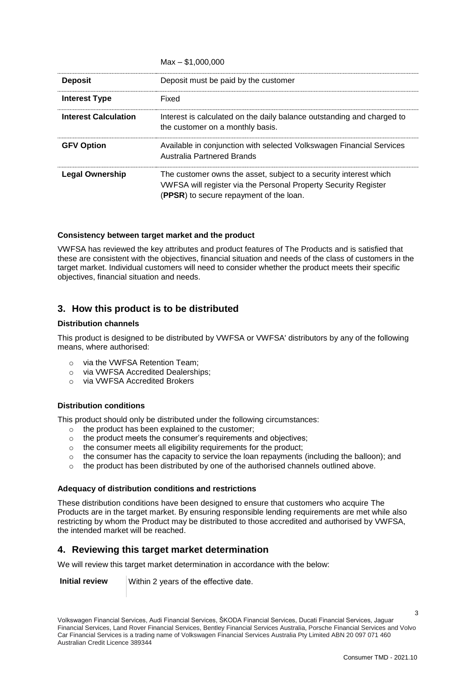|                             | $Max - $1.000.000$                                                                                                                                                              |
|-----------------------------|---------------------------------------------------------------------------------------------------------------------------------------------------------------------------------|
| <b>Deposit</b>              | Deposit must be paid by the customer                                                                                                                                            |
| Interest Type               | Fixed                                                                                                                                                                           |
| <b>Interest Calculation</b> | Interest is calculated on the daily balance outstanding and charged to<br>the customer on a monthly basis.                                                                      |
| <b>GFV Option</b>           | Available in conjunction with selected Volkswagen Financial Services<br><b>Australia Partnered Brands</b>                                                                       |
| <b>Legal Ownership</b>      | The customer owns the asset, subject to a security interest which<br>VWFSA will register via the Personal Property Security Register<br>(PPSR) to secure repayment of the loan. |

#### **Consistency between target market and the product**

VWFSA has reviewed the key attributes and product features of The Products and is satisfied that these are consistent with the objectives, financial situation and needs of the class of customers in the target market. Individual customers will need to consider whether the product meets their specific objectives, financial situation and needs.

## **3. How this product is to be distributed**

#### **Distribution channels**

This product is designed to be distributed by VWFSA or VWFSA' distributors by any of the following means, where authorised:

- o via the VWFSA Retention Team;
- o via VWFSA Accredited Dealerships;
- o via VWFSA Accredited Brokers

#### **Distribution conditions**

This product should only be distributed under the following circumstances:

- o the product has been explained to the customer;
- o the product meets the consumer's requirements and objectives;
- o the consumer meets all eligibility requirements for the product;
- o the consumer has the capacity to service the loan repayments (including the balloon); and
- o the product has been distributed by one of the authorised channels outlined above.

#### **Adequacy of distribution conditions and restrictions**

These distribution conditions have been designed to ensure that customers who acquire The Products are in the target market. By ensuring responsible lending requirements are met while also restricting by whom the Product may be distributed to those accredited and authorised by VWFSA, the intended market will be reached.

### **4. Reviewing this target market determination**

We will review this target market determination in accordance with the below:

**Initial review** | Within 2 years of the effective date.

3